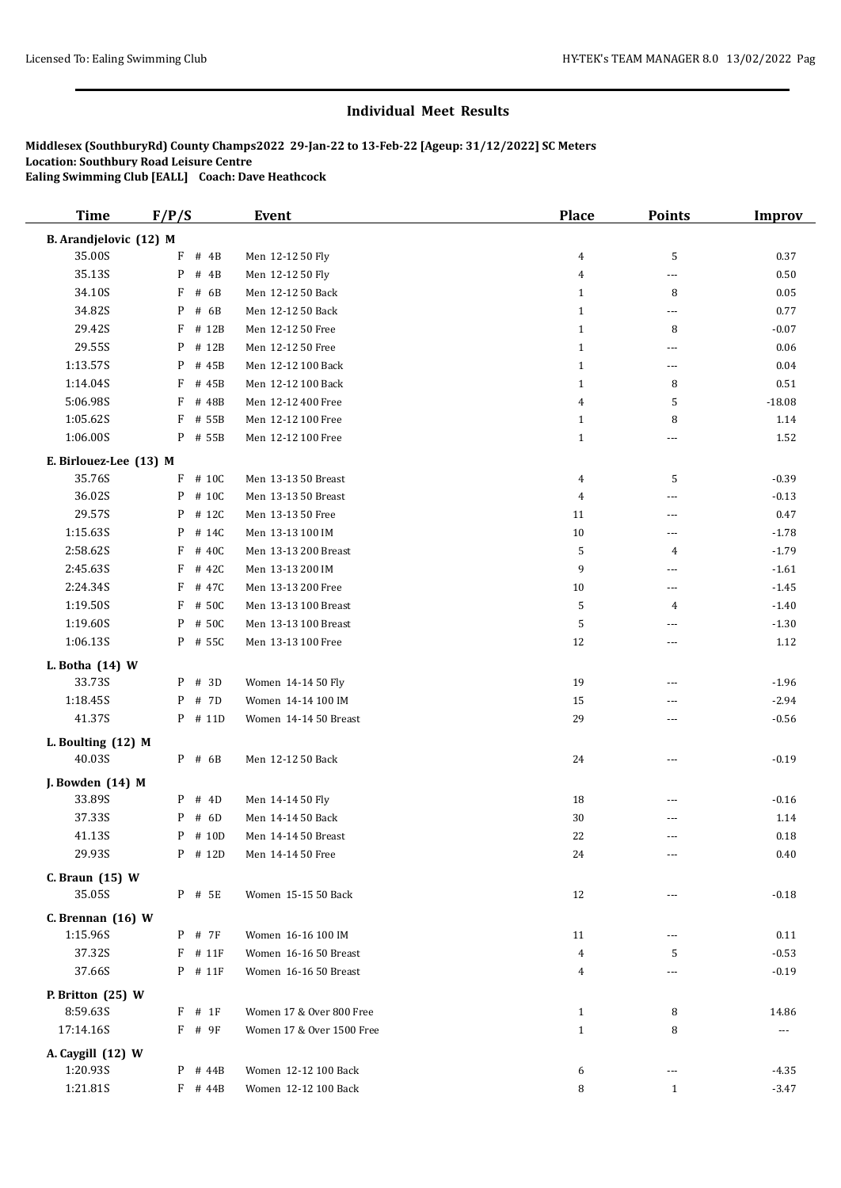| <b>Time</b>            | F/P/S            | <b>Event</b>              | <b>Place</b>   | <b>Points</b>            | <b>Improv</b>        |
|------------------------|------------------|---------------------------|----------------|--------------------------|----------------------|
| B. Arandjelovic (12) M |                  |                           |                |                          |                      |
| 35.00S                 | F<br># 4B        | Men 12-12 50 Fly          | 4              | 5                        | 0.37                 |
| 35.13S                 | P<br># $4B$      | Men 12-12 50 Fly          | 4              | $---$                    | 0.50                 |
| 34.10S                 | F<br># 6B        | Men 12-12 50 Back         | $\mathbf{1}$   | 8                        | $0.05\,$             |
| 34.82S                 | P<br># 6B        | Men 12-12 50 Back         | $\mathbf{1}$   | $\cdots$                 | 0.77                 |
| 29.42S                 | F<br># 12B       | Men 12-12 50 Free         | $\mathbf{1}$   | 8                        | $-0.07$              |
| 29.55S                 | # 12B<br>P       | Men 12-12 50 Free         | $\mathbf{1}$   | $\overline{\phantom{a}}$ | 0.06                 |
| 1:13.57S               | P<br># 45B       | Men 12-12 100 Back        | $\mathbf{1}$   | $\scriptstyle\cdots$     | $0.04\,$             |
| 1:14.04S               | F<br># 45B       | Men 12-12 100 Back        | $\mathbf{1}$   | 8                        | $0.51\,$             |
| 5:06.98S               | F<br># 48B       | Men 12-12 400 Free        | 4              | 5                        | $-18.08$             |
| 1:05.62S               | $\rm F$<br># 55B | Men 12-12 100 Free        | $\mathbf{1}$   | 8                        | 1.14                 |
| 1:06.00S               | P # 55B          | Men 12-12 100 Free        | $\mathbf{1}$   | $\cdots$                 | 1.52                 |
| E. Birlouez-Lee (13) M |                  |                           |                |                          |                      |
| 35.76S                 | F<br># 10C       | Men 13-13 50 Breast       | 4              | 5                        | $-0.39$              |
| 36.02S                 | # 10C<br>P       | Men 13-13 50 Breast       | 4              | $---$                    | $-0.13$              |
| 29.57S                 | P<br># 12C       | Men 13-13 50 Free         | 11             | ---                      | 0.47                 |
| 1:15.63S               | P<br># 14C       | Men 13-13 100 IM          | $10\,$         | ---                      | $-1.78$              |
| 2:58.62S               | F<br># 40C       | Men 13-13 200 Breast      | 5              | 4                        | $-1.79$              |
| 2:45.63S               | F<br># 42C       | Men 13-13 200 IM          | 9              | $---$                    | $-1.61$              |
| 2:24.34S               | F<br># 47C       | Men 13-13 200 Free        | 10             | $\overline{\phantom{a}}$ | $-1.45$              |
| 1:19.50S               | F<br># 50C       | Men 13-13 100 Breast      | 5              | 4                        | $-1.40$              |
| 1:19.60S               | # 50C<br>P       | Men 13-13 100 Breast      | 5              | $---$                    | $-1.30$              |
| 1:06.13S               | $P$ # 55C        | Men 13-13 100 Free        | 12             |                          | 1.12                 |
|                        |                  |                           |                | ---                      |                      |
| L. Botha (14) W        |                  |                           |                |                          |                      |
| 33.73S                 | P # 3D           | Women 14-14 50 Fly        | 19             | ---                      | $-1.96$              |
| 1:18.45S               | # 7D<br>P        | Women 14-14 100 IM        | 15             | $\cdots$                 | $-2.94$              |
| 41.37S                 | $P$ # 11D        | Women 14-14 50 Breast     | 29             | ---                      | $-0.56$              |
| L. Boulting (12) M     |                  |                           |                |                          |                      |
| 40.03S                 | P # 6B           | Men 12-12 50 Back         | 24             | $\overline{\phantom{a}}$ | $-0.19$              |
| J. Bowden (14) M       |                  |                           |                |                          |                      |
| 33.89S                 | # 4D<br>P        | Men 14-14 50 Fly          | 18             | ---                      | $-0.16$              |
| 37.33S                 | # 6D<br>P        | Men 14-14 50 Back         | 30             |                          | 1.14                 |
| 41.13S                 | $P$ # 10D        | Men 14-14 50 Breast       | 22             | $---$                    | 0.18                 |
| 29.93S                 | $P$ # 12D        | Men 14-14 50 Free         | 24             | $\overline{\phantom{a}}$ | $0.40\,$             |
| C. Braun (15) W        |                  |                           |                |                          |                      |
| 35.05S                 | P # 5E           | Women 15-15 50 Back       | 12             | $\overline{\phantom{a}}$ | $-0.18$              |
| C. Brennan $(16)$ W    |                  |                           |                |                          |                      |
| 1:15.96S               | P # 7F           | Women 16-16 100 IM        | 11             | $\cdots$                 | 0.11                 |
| 37.32S                 | $F$ # 11 $F$     | Women 16-16 50 Breast     | $\overline{4}$ | 5                        | $-0.53$              |
| 37.66S                 | P # 11F          | Women 16-16 50 Breast     | 4              | $\cdots$                 | $-0.19$              |
|                        |                  |                           |                |                          |                      |
| P. Britton (25) W      |                  |                           |                |                          |                      |
| 8:59.635               | $F$ # 1F         | Women 17 & Over 800 Free  | $\mathbf{1}$   | 8                        | 14.86                |
| 17:14.16S              | F # 9F           | Women 17 & Over 1500 Free | $\mathbf{1}$   | 8                        | $\scriptstyle\cdots$ |
| A. Caygill (12) W      |                  |                           |                |                          |                      |
| 1:20.93S               | $P$ # 44B        | Women 12-12 100 Back      | 6              | $\scriptstyle\cdots$     | $-4.35$              |
| 1:21.81S               | $F$ # 44B        | Women 12-12 100 Back      | 8              | $\mathbf{1}$             | $-3.47$              |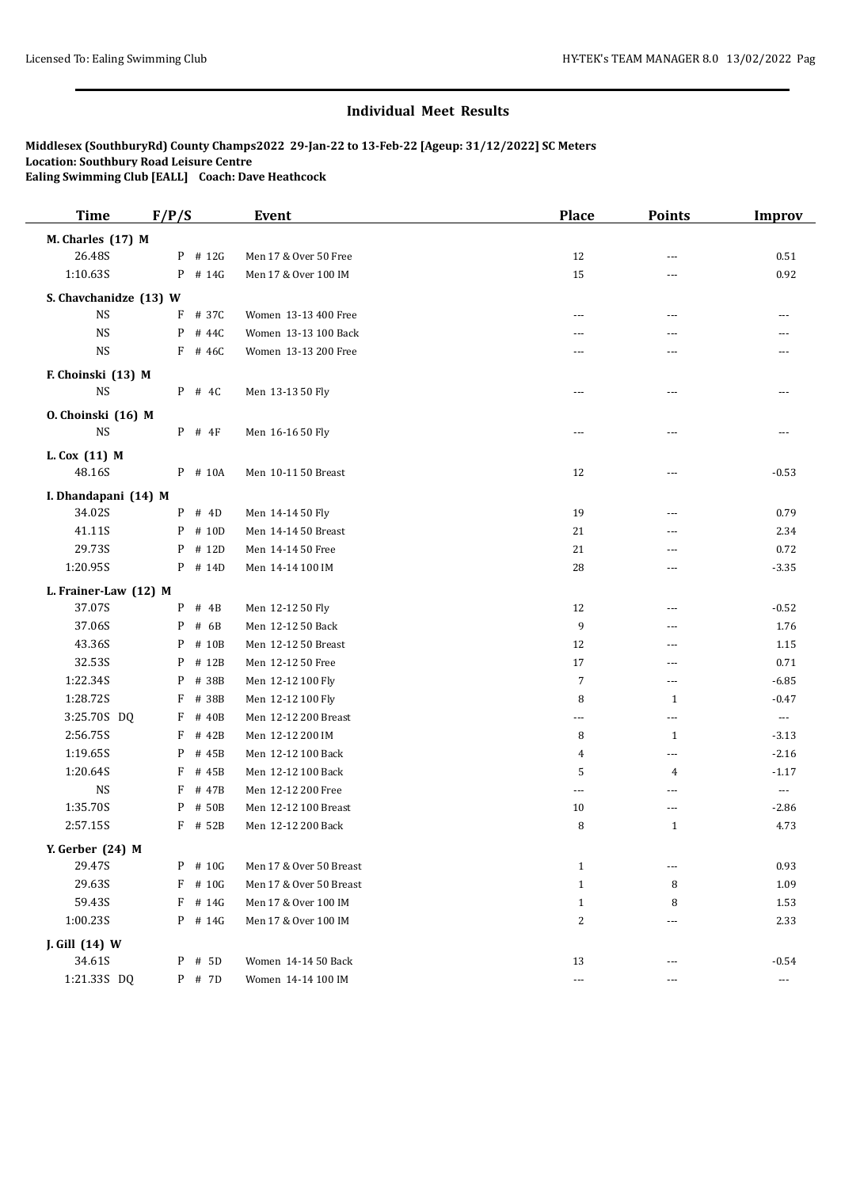| <b>Time</b>            | F/P/S      | <b>Event</b>                  | Place          | <b>Points</b>            | <b>Improv</b>         |
|------------------------|------------|-------------------------------|----------------|--------------------------|-----------------------|
| M. Charles (17) M      |            |                               |                |                          |                       |
| 26.48S                 | P # 12G    | Men 17 & Over 50 Free         | 12             | $\sim$ $\sim$            | 0.51                  |
| 1:10.63S               | P # 14G    | Men 17 & Over 100 IM          | 15             | $---$                    | 0.92                  |
| S. Chavchanidze (13) W |            |                               |                |                          |                       |
| <b>NS</b>              | F<br># 37C | Women 13-13 400 Free          | $---$          | $---$                    | ---                   |
| <b>NS</b>              | P<br># 44C | Women 13-13 100 Back          | ---            | $\overline{a}$           |                       |
| <b>NS</b>              | $F$ # 46C  | Women 13-13 200 Free          |                | $\sim$ $\sim$            |                       |
| F. Choinski (13) M     |            |                               |                |                          |                       |
| <b>NS</b>              | $P$ # 4C   | Men 13-13 50 Fly              | ---            | ---                      |                       |
| O. Choinski (16) M     |            |                               |                |                          |                       |
| $_{\rm NS}$            | $P$ # 4F   | Men 16-16 50 Fly              | $---$          | $\overline{a}$           | $---$                 |
| L. Cox (11) M          |            |                               |                |                          |                       |
| 48.16S                 | P # 10A    | Men 10-11 50 Breast           | 12             | $\scriptstyle\cdots$     | $-0.53$               |
| I. Dhandapani (14) M   |            |                               |                |                          |                       |
| 34.02S                 | # 4D<br>P  | Men 14-14 50 Fly              | 19             | $---$                    | 0.79                  |
| 41.11S                 | # 10D<br>P | Men 14-14 50 Breast           | 21             | ---                      | 2.34                  |
| 29.73S                 | P<br># 12D | Men 14-14 50 Free             | 21             | $---$                    | 0.72                  |
| 1:20.95S               | P # 14D    | Men 14-14 100 IM              | 28             | $\sim$ $\sim$            | $-3.35$               |
| L. Frainer-Law (12) M  |            |                               |                |                          |                       |
| 37.07S                 | P<br># 4B  | Men 12-12 50 Fly              | 12             | $\overline{a}$           | $-0.52$               |
| 37.06S                 | P<br># 6B  | Men 12-12 50 Back             | 9              | $---$                    | 1.76                  |
| 43.36S                 | P          | # 10B<br>Men 12-12 50 Breast  | 12             | $\overline{a}$           | 1.15                  |
| 32.53S                 | P          | # 12B<br>Men 12-12 50 Free    | 17             | ---                      | 0.71                  |
| 1:22.34S               | P<br># 38B | Men 12-12 100 Fly             | $\overline{7}$ | $\scriptstyle\cdots$     | $-6.85$               |
| 1:28.72S               | # 38B<br>F | Men 12-12 100 Fly             | 8              | $\mathbf{1}$             | $-0.47$               |
| 3:25.70S DQ            | F<br># 40B | Men 12-12 200 Breast          | ---            | $\overline{\phantom{a}}$ | $\sim$ $\sim$         |
| 2:56.75S               | F<br># 42B | Men 12-12 200 IM              | 8              | 1                        | $-3.13$               |
| 1:19.65S               | P<br># 45B | Men 12-12 100 Back            | 4              | $---$                    | $-2.16$               |
| 1:20.64S               | F          | # 45B<br>Men 12-12 100 Back   | 5              | 4                        | $-1.17$               |
| $_{\rm NS}$            | F          | # 47B<br>Men 12-12 200 Free   | ---            | $---$                    | $\scriptstyle \cdots$ |
| 1:35.70S               | P          | # 50B<br>Men 12-12 100 Breast | 10             | ---                      | $-2.86$               |
| 2:57.15S               | F # 52B    | Men 12-12 200 Back            | 8              | $\mathbf{1}$             | 4.73                  |
| Y. Gerber (24) M       |            |                               |                |                          |                       |
| 29.47S                 | P # 10G    | Men 17 & Over 50 Breast       | $\mathbf{1}$   | $---$                    | 0.93                  |
| 29.63S                 | F<br># 10G | Men 17 & Over 50 Breast       | $\mathbf{1}$   | 8                        | 1.09                  |
| 59.43S                 | F          | # 14G<br>Men 17 & Over 100 IM | $\mathbf{1}$   | 8                        | 1.53                  |
| 1:00.23S               | P # 14G    | Men 17 & Over 100 IM          | 2              | $\cdots$                 | 2.33                  |
| J. Gill (14) W         |            |                               |                |                          |                       |
| 34.61S                 | P # 5D     | Women 14-14 50 Back           | 13             | $\overline{\phantom{a}}$ | $-0.54$               |
| 1:21.33S DQ            | P # 7D     | Women 14-14 100 IM            | ---            | ---                      | $\scriptstyle\cdots$  |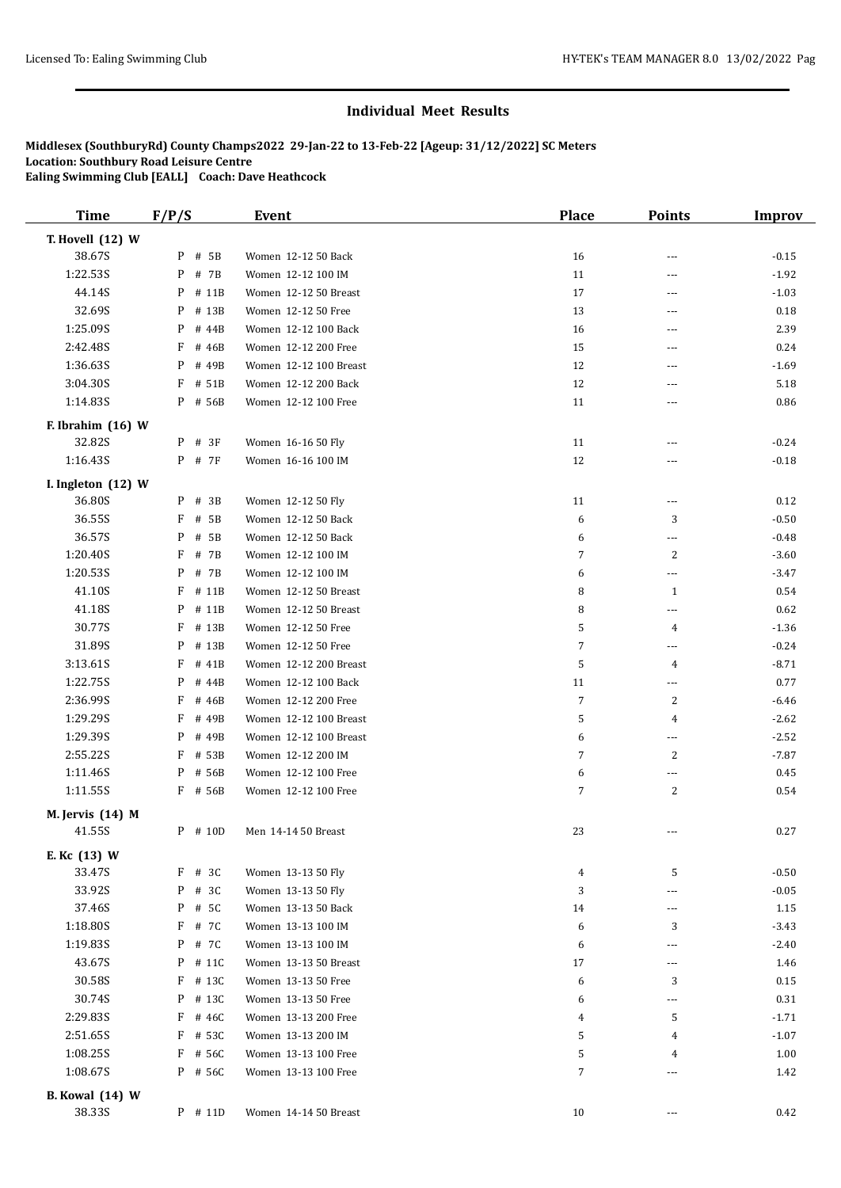| <b>Time</b>            | F/P/S      | <b>Event</b>           | <b>Place</b>   | <b>Points</b>            | <b>Improv</b> |
|------------------------|------------|------------------------|----------------|--------------------------|---------------|
| T. Hovell (12) W       |            |                        |                |                          |               |
| 38.67S                 | # 5B<br>P  | Women 12-12 50 Back    | 16             | ---                      | $-0.15$       |
| 1:22.53S               | P<br># 7B  | Women 12-12 100 IM     | 11             | $\cdots$                 | $-1.92$       |
| 44.14S                 | P<br># 11B | Women 12-12 50 Breast  | 17             | $\sim$                   | $-1.03$       |
| 32.69S                 | P<br># 13B | Women 12-12 50 Free    | 13             | ---                      | 0.18          |
| 1:25.09S               | P<br># 44B | Women 12-12 100 Back   | 16             | $\cdots$                 | 2.39          |
| 2:42.48S               | F<br># 46B | Women 12-12 200 Free   | 15             | ---                      | 0.24          |
| 1:36.635               | P<br># 49B | Women 12-12 100 Breast | 12             | $- - -$                  | $-1.69$       |
| 3:04.30S               | F<br># 51B | Women 12-12 200 Back   | 12             | ---                      | 5.18          |
| 1:14.83S               | P # 56B    | Women 12-12 100 Free   | 11             | $\cdots$                 | 0.86          |
|                        |            |                        |                |                          |               |
| F. Ibrahim (16) W      |            |                        |                |                          |               |
| 32.82S                 | # 3F<br>P  | Women 16-16 50 Fly     | 11             | ---                      | $-0.24$       |
| 1:16.43S               | P # 7F     | Women 16-16 100 IM     | 12             | $\cdots$                 | $-0.18$       |
| I. Ingleton (12) W     |            |                        |                |                          |               |
| 36.80S                 | # 3B<br>P  | Women 12-12 50 Fly     | 11             | $\overline{\phantom{a}}$ | 0.12          |
| 36.55S                 | F<br># 5B  | Women 12-12 50 Back    | 6              | 3                        | $-0.50$       |
| 36.57S                 | P<br># 5B  | Women 12-12 50 Back    | 6              | $\overline{\phantom{a}}$ | $-0.48$       |
| 1:20.40S               | F<br># 7B  | Women 12-12 100 IM     | $\overline{7}$ | 2                        | $-3.60$       |
| 1:20.53S               | P<br># 7B  | Women 12-12 100 IM     | 6              | $\scriptstyle\cdots$ .   | $-3.47$       |
| 41.10S                 | F<br># 11B | Women 12-12 50 Breast  | 8              | 1                        | 0.54          |
| 41.18S                 | P<br># 11B | Women 12-12 50 Breast  | 8              | $\cdots$                 | 0.62          |
| 30.77S                 | F<br># 13B | Women 12-12 50 Free    | 5              | 4                        | $-1.36$       |
| 31.89S                 | P<br># 13B | Women 12-12 50 Free    | 7              | $\overline{\phantom{a}}$ | $-0.24$       |
| 3:13.61S               | F<br># 41B | Women 12-12 200 Breast | 5              | 4                        | $-8.71$       |
| 1:22.75S               | P<br># 44B | Women 12-12 100 Back   | 11             | $\cdots$                 | 0.77          |
| 2:36.99S               | F<br># 46B | Women 12-12 200 Free   | $\sqrt{7}$     | 2                        | $-6.46$       |
| 1:29.29S               | F<br># 49B | Women 12-12 100 Breast | 5              | 4                        | $-2.62$       |
| 1:29.39S               | P<br># 49B | Women 12-12 100 Breast | 6              | $\cdots$                 | $-2.52$       |
| 2:55.22S               | F<br># 53B | Women 12-12 200 IM     | $\overline{7}$ | 2                        | $-7.87$       |
| 1:11.46S               | # 56B<br>P | Women 12-12 100 Free   | 6              | ---                      | 0.45          |
| 1:11.55S               | F # 56B    | Women 12-12 100 Free   | $\overline{7}$ | 2                        | 0.54          |
| M. Jervis (14) M       |            |                        |                |                          |               |
| 41.55S                 | $P$ # 10D  | Men 14-14 50 Breast    | 23             | ---                      | 0.27          |
|                        |            |                        |                |                          |               |
| E. Kc (13) W           |            |                        |                |                          |               |
| 33.47S                 | $F$ # 3C   | Women 13-13 50 Fly     | 4              | 5                        | $-0.50$       |
| 33.92S                 | P<br># 3C  | Women 13-13 50 Fly     | 3              | ---                      | $-0.05$       |
| 37.46S                 | # 5C<br>P  | Women 13-13 50 Back    | 14             | $\cdots$                 | 1.15          |
| 1:18.80S               | F<br># 7C  | Women 13-13 100 IM     | 6              | 3                        | $-3.43$       |
| 1:19.83S               | P<br># 7C  | Women 13-13 100 IM     | 6              | $\overline{\phantom{a}}$ | $-2.40$       |
| 43.67S                 | P<br># 11C | Women 13-13 50 Breast  | 17             | $\cdots$                 | 1.46          |
| 30.58S                 | F # 13C    | Women 13-13 50 Free    | 6              | 3                        | 0.15          |
| 30.74S                 | P<br># 13C | Women 13-13 50 Free    | 6              | $\cdots$                 | 0.31          |
| 2:29.83S               | F<br># 46C | Women 13-13 200 Free   | 4              | 5                        | $-1.71$       |
| 2:51.65S               | F<br># 53C | Women 13-13 200 IM     | 5              | 4                        | $-1.07$       |
| 1:08.25S               | F<br># 56C | Women 13-13 100 Free   | 5              | 4                        | 1.00          |
| 1:08.67S               | P # 56C    | Women 13-13 100 Free   | 7              | $\overline{\phantom{a}}$ | 1.42          |
| <b>B.</b> Kowal (14) W |            |                        |                |                          |               |
| 38.33S                 | $P$ # 11D  | Women 14-14 50 Breast  | 10             | $\scriptstyle\cdots$     | 0.42          |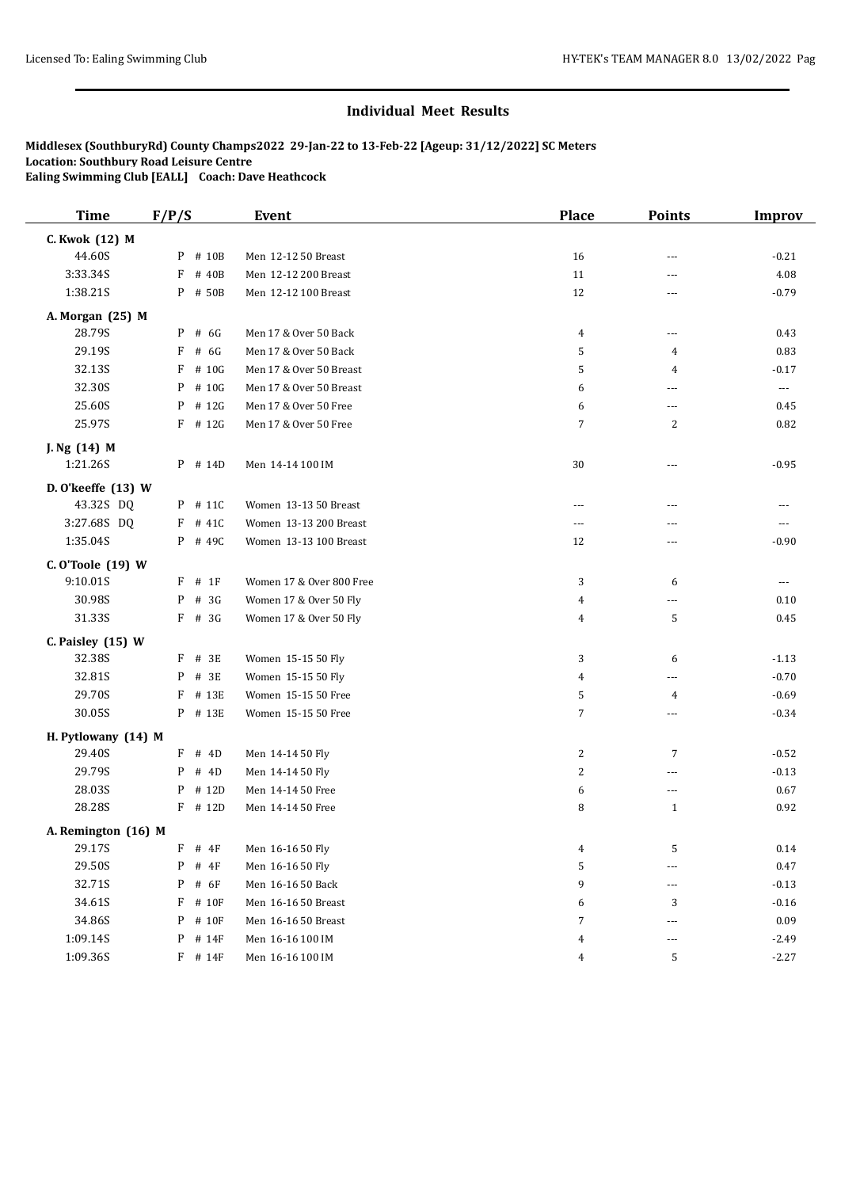| <b>Time</b>         | F/P/S        | <b>Event</b>             | <b>Place</b>   | <b>Points</b>  | <b>Improv</b> |
|---------------------|--------------|--------------------------|----------------|----------------|---------------|
| C. Kwok (12) M      |              |                          |                |                |               |
| 44.60S              | $P$ # 10B    | Men 12-12 50 Breast      | 16             | ---            | $-0.21$       |
| 3:33.34S            | F<br># 40B   | Men 12-12 200 Breast     | 11             | ---            | 4.08          |
| 1:38.21S            | P # 50B      | Men 12-12 100 Breast     | 12             | ---            | $-0.79$       |
| A. Morgan (25) M    |              |                          |                |                |               |
| 28.79S              | P<br># 6G    | Men 17 & Over 50 Back    | 4              | ---            | 0.43          |
| 29.19S              | F<br># 6G    | Men 17 & Over 50 Back    | 5              | 4              | 0.83          |
| 32.13S              | F<br># 10G   | Men 17 & Over 50 Breast  | 5              | 4              | $-0.17$       |
| 32.30S              | P<br># 10G   | Men 17 & Over 50 Breast  | 6              | ---            | $\cdots$      |
| 25.60S              | P<br># 12G   | Men 17 & Over 50 Free    | 6              | ---            | 0.45          |
| 25.97S              | $F$ # 12G    | Men 17 & Over 50 Free    | $\overline{7}$ | 2              | 0.82          |
| J. Ng (14) M        |              |                          |                |                |               |
| 1:21.26S            | P # 14D      | Men 14-14 100 IM         | 30             | ---            | $-0.95$       |
| D. O'keeffe (13) W  |              |                          |                |                |               |
| 43.32S DQ           | $P$ # 11C    | Women 13-13 50 Breast    | $- - -$        | $\overline{a}$ | $---$         |
| 3:27.68S DQ         | # 41C<br>F   | Women 13-13 200 Breast   | ---            | ---            | ---           |
| 1:35.04S            | P # 49C      | Women 13-13 100 Breast   | 12             | ---            | $-0.90$       |
| C. O'Toole (19) W   |              |                          |                |                |               |
| 9:10.01S            | F<br># 1F    | Women 17 & Over 800 Free | 3              | 6              | $---$         |
| 30.98S              | # 3G<br>P    | Women 17 & Over 50 Fly   | 4              | ---            | 0.10          |
| 31.33S              | $F$ # 3G     | Women 17 & Over 50 Fly   | 4              | 5              | 0.45          |
| C. Paisley $(15)$ W |              |                          |                |                |               |
| 32.38S              | $F$ # 3E     | Women 15-15 50 Fly       | 3              | 6              | $-1.13$       |
| 32.81S              | # 3E<br>P    | Women 15-15 50 Fly       | 4              | $---$          | $-0.70$       |
| 29.70S              | F<br># 13E   | Women 15-15 50 Free      | 5              | 4              | $-0.69$       |
| 30.05S              | P # 13E      | Women 15-15 50 Free      | $\overline{7}$ | ---            | $-0.34$       |
| H. Pytlowany (14) M |              |                          |                |                |               |
| 29.40S              | $F$ # 4D     | Men 14-14 50 Fly         | 2              | 7              | $-0.52$       |
| 29.79S              | P<br># 4D    | Men 14-14 50 Fly         | 2              | ---            | $-0.13$       |
| 28.03S              | # 12D<br>P   | Men 14-14 50 Free        | 6              | ---            | 0.67          |
| 28.28S              | $F$ # 12D    | Men 14-14 50 Free        | 8              | $\mathbf{1}$   | 0.92          |
| A. Remington (16) M |              |                          |                |                |               |
| 29.17S              | F<br># 4F    | Men 16-16 50 Fly         | 4              | 5              | 0.14          |
| 29.50S              | P<br># 4F    | Men 16-16 50 Fly         | 5              | ---            | 0.47          |
| 32.71S              | P<br># 6F    | Men 16-16 50 Back        | 9              | ---            | $-0.13$       |
| 34.61S              | F<br># 10F   | Men 16-16 50 Breast      | 6              | 3              | $-0.16$       |
| 34.86S              | P<br># 10F   | Men 16-16 50 Breast      | 7              | ---            | 0.09          |
| 1:09.14S            | P<br># 14F   | Men 16-16 100 IM         | 4              | ---            | $-2.49$       |
| 1:09.36S            | $F$ # 14 $F$ | Men 16-16 100 IM         | 4              | 5              | $-2.27$       |
|                     |              |                          |                |                |               |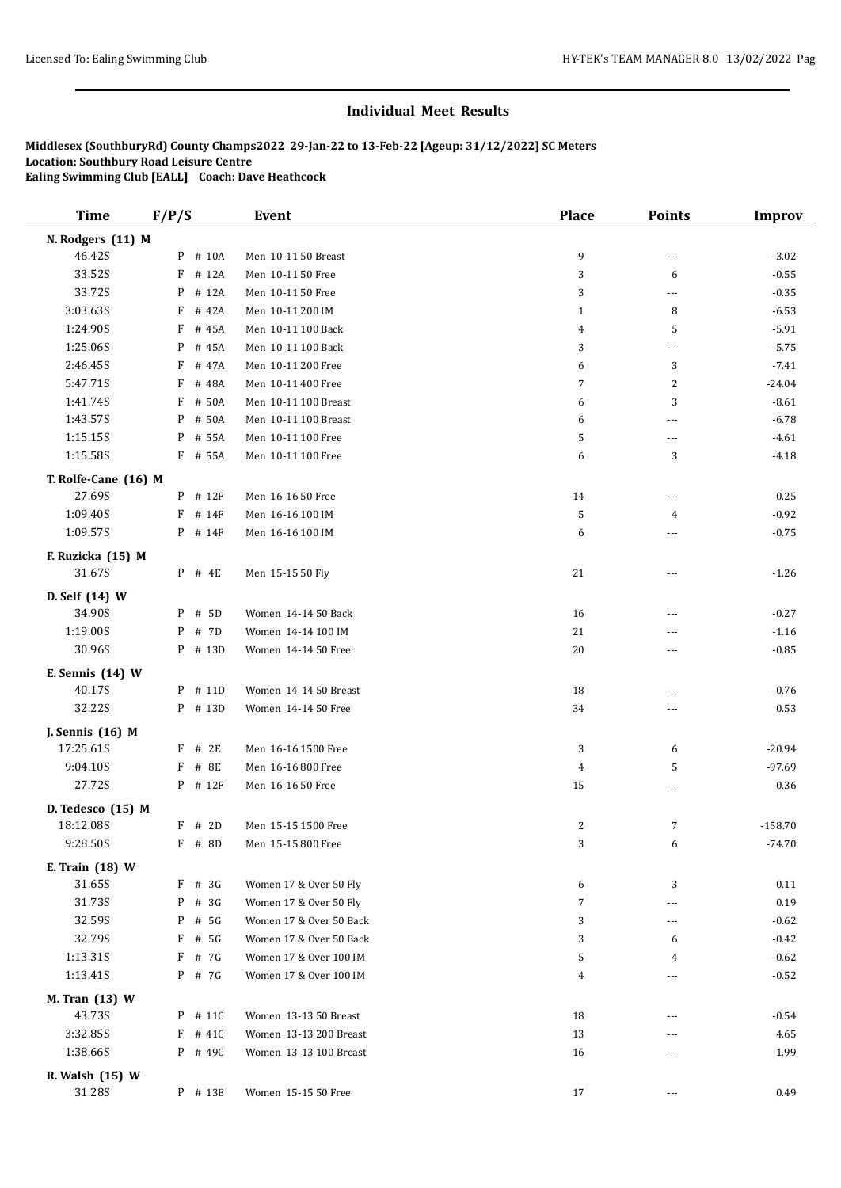| <b>Time</b>               | F/P/S       | <b>Event</b>            | Place          | <b>Points</b>  | Improv    |
|---------------------------|-------------|-------------------------|----------------|----------------|-----------|
| N. Rodgers (11) M         |             |                         |                |                |           |
| 46.42S                    | P<br># 10A  | Men 10-11 50 Breast     | 9              | ---            | $-3.02$   |
| 33.52S                    | F<br># 12A  | Men 10-11 50 Free       | 3              | 6              | $-0.55$   |
| 33.72S                    | P<br># 12A  | Men 10-11 50 Free       | 3              | $\overline{a}$ | $-0.35$   |
| 3:03.63S                  | F<br># 42A  | Men 10-11 200 IM        | $\mathbf{1}$   | 8              | $-6.53$   |
| 1:24.90S                  | F<br># 45A  | Men 10-11 100 Back      | 4              | 5              | $-5.91$   |
| 1:25.06S                  | P<br># 45A  | Men 10-11 100 Back      | 3              | ---            | $-5.75$   |
| 2:46.45S                  | F<br># 47A  | Men 10-11 200 Free      | 6              | 3              | $-7.41$   |
| 5:47.71S                  | F<br># 48A  | Men 10-11 400 Free      | $\overline{7}$ | 2              | -24.04    |
| 1:41.74S                  | F<br># 50A  | Men 10-11 100 Breast    | 6              | 3              | $-8.61$   |
| 1:43.57S                  | P<br># 50A  | Men 10-11 100 Breast    | 6              | ---            | $-6.78$   |
| 1:15.15S                  | # 55A<br>P  | Men 10-11 100 Free      | 5              | ---            | $-4.61$   |
| 1:15.58S                  | F # 55A     | Men 10-11 100 Free      | 6              | 3              | $-4.18$   |
| T. Rolfe-Cane (16) M      |             |                         |                |                |           |
| 27.69S                    | P # 12F     | Men 16-16 50 Free       | 14             | ---            | 0.25      |
| 1:09.40S                  | F<br># 14F  | Men 16-16 100 IM        | 5              | 4              | $-0.92$   |
| 1:09.57S                  | $P$ # 14F   | Men 16-16 100 IM        | 6              | ---            | $-0.75$   |
|                           |             |                         |                |                |           |
| F. Ruzicka (15) M         |             |                         |                |                |           |
| 31.67S                    | $P$ # 4E    | Men 15-15 50 Fly        | 21             | ---            | $-1.26$   |
| D. Self (14) W            |             |                         |                |                |           |
| 34.90S                    | # 5D<br>P   | Women 14-14 50 Back     | 16             | ---            | $-0.27$   |
| 1:19.00S                  | # 7D<br>P   | Women 14-14 100 IM      | 21             | ---            | $-1.16$   |
| 30.96S                    | P # 13D     | Women 14-14 50 Free     | 20             | ---            | $-0.85$   |
| E. Sennis (14) W          |             |                         |                |                |           |
| 40.17S                    | P # 11D     | Women 14-14 50 Breast   | 18             | ---            | $-0.76$   |
| 32.22S                    | P # 13D     | Women 14-14 50 Free     | 34             | ---            | 0.53      |
| J. Sennis (16) M          |             |                         |                |                |           |
| 17:25.61S                 | $F$ # 2E    | Men 16-16 1500 Free     | 3              | 6              | $-20.94$  |
| 9:04.10S                  | F<br># 8E   | Men 16-16 800 Free      | 4              | 5              | $-97.69$  |
| 27.72S                    | $P$ # 12F   | Men 16-16 50 Free       | 15             | ---            | 0.36      |
| D. Tedesco (15) M         |             |                         |                |                |           |
| 18:12.08S                 | $F$ # 2D    | Men 15-15 1500 Free     | 2              | 7              | $-158.70$ |
| 9:28.50S                  | $F$ # 8D    | Men 15-15 800 Free      | 3              | 6              | $-74.70$  |
|                           |             |                         |                |                |           |
| E. Train (18) W<br>31.65S | $F$ # 3G    | Women 17 & Over 50 Fly  | 6              | 3              | 0.11      |
| 31.73S                    | # $3G$<br>P | Women 17 & Over 50 Fly  | $\overline{7}$ | ---            | 0.19      |
| 32.59S                    | # 5G<br>P   | Women 17 & Over 50 Back | 3              | ---            | $-0.62$   |
| 32.79S                    | F<br># 5G   | Women 17 & Over 50 Back | 3              | 6              | $-0.42$   |
| 1:13.31S                  | F<br># 7G   | Women 17 & Over 100 IM  | 5              | 4              | $-0.62$   |
| 1:13.41S                  | P # 7G      | Women 17 & Over 100 IM  | 4              | ---            | $-0.52$   |
|                           |             |                         |                |                |           |
| M. Tran (13) W            |             |                         |                |                |           |
| 43.73S                    | P # 11C     | Women 13-13 50 Breast   | 18             | ---            | $-0.54$   |
| 3:32.85S                  | F<br># 41C  | Women 13-13 200 Breast  | 13             | ---            | 4.65      |
| 1:38.66S                  | $P$ # 49C   | Women 13-13 100 Breast  | 16             | ---            | 1.99      |
| R. Walsh (15) W           |             |                         |                |                |           |
| 31.28S                    | P # 13E     | Women 15-15 50 Free     | 17             | ---            | 0.49      |